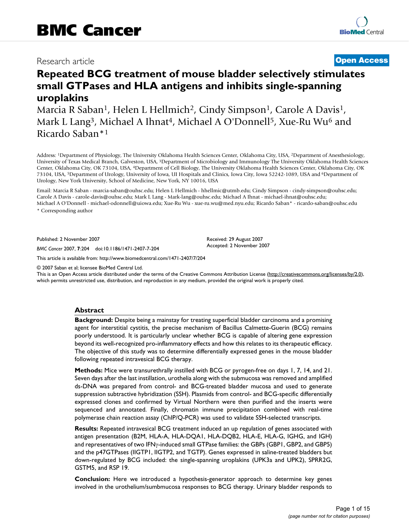**[BioMed](http://www.biomedcentral.com/)** Central

# Research article **[Open Access](http://www.biomedcentral.com/info/about/charter/)**

# **Repeated BCG treatment of mouse bladder selectively stimulates small GTPases and HLA antigens and inhibits single-spanning uroplakins**

Marcia R Saban<sup>1</sup>, Helen L Hellmich<sup>2</sup>, Cindy Simpson<sup>1</sup>, Carole A Davis<sup>1</sup>, Mark L Lang<sup>3</sup>, Michael A Ihnat<sup>4</sup>, Michael A O'Donnell<sup>5</sup>, Xue-Ru Wu<sup>6</sup> and Ricardo Saban\*1

Address: 1Department of Physiology, The University Oklahoma Health Sciences Center, Oklahoma City, USA, 2Department of Anesthesiology, University of Texas Medical Branch, Galveston, USA, 3Department of Microbiology and Immunology The University Oklahoma Health Sciences Center, Oklahoma City, OK 73104, USA, 4Department of Cell Biology, The University Oklahoma Health Sciences Center, Oklahoma City, OK 73104, USA, 5Department of Urology, University of Iowa, UI Hospitals and Clinics, Iowa City, Iowa 52242-1089, USA and 6Department of Urology, New York University, School of Medicine, New York, NY 10016, USA

Email: Marcia R Saban - marcia-saban@ouhsc.edu; Helen L Hellmich - hhellmic@utmb.edu; Cindy Simpson - cindy-simpson@ouhsc.edu; Carole A Davis - carole-davis@ouhsc.edu; Mark L Lang - Mark-lang@ouhsc.edu; Michael A Ihnat - michael-ihnat@ouhsc.edu; Michael A O'Donnell - michael-odonnell@uiowa.edu; Xue-Ru Wu - xue-ru.wu@med.nyu.edu; Ricardo Saban\* - ricardo-saban@ouhsc.edu \* Corresponding author

Published: 2 November 2007

*BMC Cancer* 2007, **7**:204 doi:10.1186/1471-2407-7-204

[This article is available from: http://www.biomedcentral.com/1471-2407/7/204](http://www.biomedcentral.com/1471-2407/7/204)

© 2007 Saban et al; licensee BioMed Central Ltd.

This is an Open Access article distributed under the terms of the Creative Commons Attribution License [\(http://creativecommons.org/licenses/by/2.0\)](http://creativecommons.org/licenses/by/2.0), which permits unrestricted use, distribution, and reproduction in any medium, provided the original work is properly cited.

Received: 29 August 2007 Accepted: 2 November 2007

#### **Abstract**

**Background:** Despite being a mainstay for treating superficial bladder carcinoma and a promising agent for interstitial cystitis, the precise mechanism of Bacillus Calmette-Guerin (BCG) remains poorly understood. It is particularly unclear whether BCG is capable of altering gene expression beyond its well-recognized pro-inflammatory effects and how this relates to its therapeutic efficacy. The objective of this study was to determine differentially expressed genes in the mouse bladder following repeated intravesical BCG therapy.

**Methods:** Mice were transurethrally instilled with BCG or pyrogen-free on days 1, 7, 14, and 21. Seven days after the last instillation, urothelia along with the submucosa was removed and amplified ds-DNA was prepared from control- and BCG-treated bladder mucosa and used to generate suppression subtractive hybridization (SSH). Plasmids from control- and BCG-specific differentially expressed clones and confirmed by Virtual Northern were then purified and the inserts were sequenced and annotated. Finally, chromatin immune precipitation combined with real-time polymerase chain reaction assay (ChIP/Q-PCR) was used to validate SSH-selected transcripts.

**Results:** Repeated intravesical BCG treatment induced an up regulation of genes associated with antigen presentation (B2M, HLA-A, HLA-DQA1, HLA-DQB2, HLA-E, HLA-G, IGHG, and IGH) and representatives of two IFNγ-induced small GTPase families: the GBPs (GBP1, GBP2, and GBP5) and the p47GTPases (IIGTP1, IIGTP2, and TGTP). Genes expressed in saline-treated bladders but down-regulated by BCG included: the single-spanning uroplakins (UPK3a and UPK2), SPRR2G, GSTM5, and RSP 19.

**Conclusion:** Here we introduced a hypothesis-generator approach to determine key genes involved in the urothelium/sumbmucosa responses to BCG therapy. Urinary bladder responds to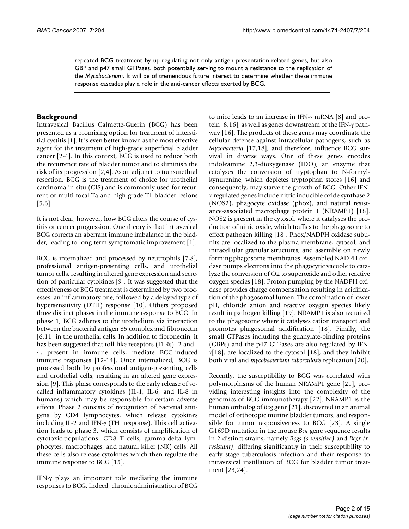repeated BCG treatment by up-regulating not only antigen presentation-related genes, but also GBP and p47 small GTPases, both potentially serving to mount a resistance to the replication of the *Mycobacterium*. It will be of tremendous future interest to determine whether these immune response cascades play a role in the anti-cancer effects exerted by BCG.

## **Background**

Intravesical Bacillus Calmette-Guerin (BCG) has been presented as a promising option for treatment of interstitial cystitis [1]. It is even better known as the most effective agent for the treatment of high-grade superficial bladder cancer [2-4]. In this context, BCG is used to reduce both the recurrence rate of bladder tumor and to diminish the risk of its progression [2,4]. As an adjunct to transurethral resection, BCG is the treatment of choice for urothelial carcinoma in-situ (CIS) and is commonly used for recurrent or multi-focal Ta and high grade T1 bladder lesions [5,6].

It is not clear, however, how BCG alters the course of cystitis or cancer progression. One theory is that intravesical BCG corrects an aberrant immune imbalance in the bladder, leading to long-term symptomatic improvement [1].

BCG is internalized and processed by neutrophils [7,8], professional antigen-presenting cells, and urothelial tumor cells, resulting in altered gene expression and secretion of particular cytokines [9]. It was suggested that the effectiveness of BCG treatment is determined by two processes: an inflammatory one, followed by a delayed type of hypersensitivity (DTH) response [10]. Others proposed three distinct phases in the immune response to BCG. In phase 1, BCG adheres to the urothelium via interaction between the bacterial antigen 85 complex and fibronectin [6,11] in the urothelial cells. In addition to fibronectin, it has been suggested that toll-like receptors (TLRs) -2 and - 4, present in immune cells, mediate BCG-induced immune responses [12-14]. Once internalized, BCG is processed both by professional antigen-presenting cells and urothelial cells, resulting in an altered gene expression [9]. This phase corresponds to the early release of socalled inflammatory cytokines (IL-1, IL-6, and IL-8 in humans) which may be responsible for certain adverse effects. Phase 2 consists of recognition of bacterial antigens by CD4 lymphocytes, which release cytokines including IL-2 and IFN- $\gamma$  (TH<sub>1</sub> response). This cell activation leads to phase 3, which consists of amplification of cytotoxic-populations: CD8 T cells, gamma-delta lymphocytes, macrophages, and natural killer (NK) cells. All these cells also release cytokines which then regulate the immune response to BCG [15].

IFN-γ plays an important role mediating the immune responses to BCG. Indeed, chronic administration of BCG

to mice leads to an increase in IFN-γ mRNA [8] and protein [8,16], as well as genes downstream of the IFN-γ pathway [16]. The products of these genes may coordinate the cellular defense against intracellular pathogens, such as *Mycobacteria* [17,18], and therefore, influence BCG survival in diverse ways. One of these genes encodes indoleamine 2,3-dioxygenase (IDO), an enzyme that catalyses the conversion of tryptophan to N-formylkynurenine, which depletes tryptophan stores [16] and consequently, may starve the growth of BCG. Other IFNγ-regulated genes include nitric inducible oxide synthase 2 (NOS2), phagocyte oxidase (phox), and natural resistance-associated macrophage protein 1 (NRAMP1) [18]. NOS2 is present in the cytosol, where it catalyses the production of nitric oxide, which traffics to the phagosome to effect pathogen killing [18]. Phox/NADPH oxidase subunits are localized to the plasma membrane, cytosol, and intracellular granular structures, and assemble on newly forming phagosome membranes. Assembled NADPH oxidase pumps electrons into the phagocytic vacuole to catalyze the conversion of O2 to superoxide and other reactive oxygen species [18]. Proton pumping by the NADPH oxidase provides charge compensation resulting in acidification of the phagosomal lumen. The combination of lower pH, chloride anion and reactive oxygen species likely result in pathogen killing [19]. NRAMP1 is also recruited to the phagosome where it catalyses cation transport and promotes phagosomal acidification [18]. Finally, the small GTPases including the guanylate-binding proteins (GBPs) and the p47 GTPases are also regulated by IFN- $\gamma$ [18], are localized to the cytosol [18], and they inhibit both viral and *mycobacterium tuberculosis* replication [20].

Recently, the susceptibility to BCG was correlated with polymorphisms of the human NRAMP1 gene [21], providing interesting insights into the complexity of the genomics of BCG immunotherapy [22]. NRAMP1 is the human ortholog of *Bcg* gene [21], discovered in an animal model of orthotopic murine bladder tumors, and responsible for tumor responsiveness to BCG [23]. A single G169D mutation in the mouse *Bcg* gene sequence results in 2 distinct strains, namely *Bcgs (s-sensitive)* and *Bcgr (rresistant)*, differing significantly in their susceptibility to early stage tuberculosis infection and their response to intravesical instillation of BCG for bladder tumor treatment [23,24].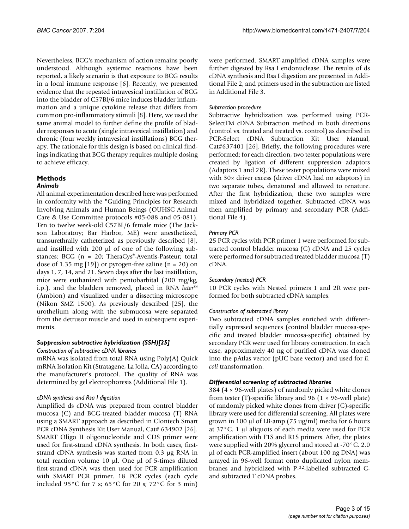Nevertheless, BCG's mechanism of action remains poorly understood. Although systemic reactions have been reported, a likely scenario is that exposure to BCG results in a local immune response [6]. Recently, we presented evidence that the repeated intravesical instillation of BCG into the bladder of C57Bl/6 mice induces bladder inflammation and a unique cytokine release that differs from common pro-inflammatory stimuli [8]. Here, we used the same animal model to further define the profile of bladder responses to acute (single intravesical instillation) and chronic (four weekly intravesical instillations) BCG therapy. The rationale for this design is based on clinical findings indicating that BCG therapy requires multiple dosing to achieve efficacy.

# **Methods**

## *Animals*

All animal experimentation described here was performed in conformity with the "Guiding Principles for Research Involving Animals and Human Beings (OUHSC Animal Care & Use Committee protocols #05-088 and 05-081). Ten to twelve week-old C57BL/6 female mice (The Jackson Laboratory; Bar Harbor, ME) were anesthetized, transurethrally catheterized as previously described [8], and instilled with 200 μl of one of the following substances: BCG (n = 20; TheraCys®-Aventis-Pasteur; total dose of 1.35 mg [19]) or pyrogen-free saline  $(n = 20)$  on days 1, 7, 14, and 21. Seven days after the last instillation, mice were euthanized with pentobarbital (200 mg/kg, i.p.), and the bladders removed, placed in RNA *later*™ (Ambion) and visualized under a dissecting microscope (Nikon SMZ 1500). As previously described [25], the urothelium along with the submucosa were separated from the detrusor muscle and used in subsequent experiments.

## *Suppression subtractive hybridization (SSH)[25]*

#### *Construction of subtractive cDNA libraries*

mRNA was isolated from total RNA using Poly(A) Quick mRNA Isolation Kit (Stratagene, La Jolla, CA) according to the manufacturer's protocol. The quality of RNA was determined by gel electrophoresis (Additional File 1).

#### *cDNA synthesis and Rsa I digestion*

Amplified ds cDNA was prepared from control bladder mucosa (C) and BCG-treated bladder mucosa (T) RNA using a SMART approach as described in Clontech Smart PCR cDNA Synthesis Kit User Manual, Cat# 634902 [26]. SMART Oligo II oligonucleotide and CDS primer were used for first-strand cDNA synthesis. In both cases, firststrand cDNA synthesis was started from 0.3 μg RNA in total reaction volume 10 μl. One μl of 5-times diluted first-strand cDNA was then used for PCR amplification with SMART PCR primer. 18 PCR cycles (each cycle included 95 $\degree$ C for 7 s; 65 $\degree$ C for 20 s; 72 $\degree$ C for 3 min)

were performed. SMART-amplified cDNA samples were further digested by Rsa I endonuclease. The results of ds cDNA synthesis and Rsa I digestion are presented in Additional File 2, and primers used in the subtraction are listed in Additional File 3.

### *Subtraction procedure*

Subtractive hybridization was performed using PCR-SelectTM cDNA Subtraction method in both directions (control vs. treated and treated vs. control) as described in PCR-Select cDNA Subtraction Kit User Manual, Cat#637401 [26]. Briefly, the following procedures were performed: for each direction, two tester populations were created by ligation of different suppression adaptors (Adaptors 1 and 2R). These tester populations were mixed with 30× driver excess (driver cDNA had no adaptors) in two separate tubes, denatured and allowed to renature. After the first hybridization, these two samples were mixed and hybridized together. Subtracted cDNA was then amplified by primary and secondary PCR (Additional File 4).

## *Primary PCR*

25 PCR cycles with PCR primer 1 were performed for subtracted control bladder mucosa (C) cDNA and 25 cycles were performed for subtracted treated bladder mucosa (T) cDNA.

#### *Secondary (nested) PCR*

10 PCR cycles with Nested primers 1 and 2R were performed for both subtracted cDNA samples.

## *Construction of subtracted library*

Two subtracted cDNA samples enriched with differentially expressed sequences (control bladder mucosa-specific and treated bladder mucosa-specific) obtained by secondary PCR were used for library construction. In each case, approximately 40 ng of purified cDNA was cloned into the pAtlas vector (pUC base vector) and used for *E. coli* transformation.

#### *Differential screening of subtracted libraries*

384 (4 × 96-well plates) of randomly picked white clones from tester (T)-specific library and 96 ( $1 \times 96$ -well plate) of randomly picked white clones from driver (C)-specific library were used for differential screening. All plates were grown in 100 μl of LB-amp (75 ug/ml) media for 6 hours at 37°C. 1 μl aliquots of each media were used for PCR amplification with F1S and R1S primers. After, the plates were supplied with 20% glycerol and stored at -70°C. 2.0 μl of each PCR-amplified insert (about 100 ng DNA) was arrayed in 96-well format onto duplicated nylon membranes and hybridized with P-32-labelled subtracted Cand subtracted T cDNA probes.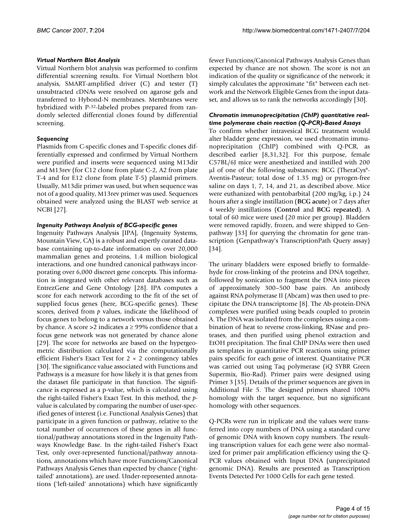#### *Virtual Northern Blot Analysis*

Virtual Northern blot analysis was performed to confirm differential screening results. For Virtual Northern blot analysis, SMART-amplified driver (C) and tester (T) unsubtracted cDNAs were resolved on agarose gels and transferred to Hybond-N membranes. Membranes were hybridized with P-32-labeled probes prepared from randomly selected differential clones found by differential screening.

#### *Sequencing*

Plasmids from C-specific clones and T-specific clones differentially expressed and confirmed by Virtual Northern were purified and inserts were sequenced using M13dir and M13rev (for C12 clone from plate C-2, A2 from plate T-4 and for E12 clone from plate T-5) plasmid primers. Usually, M13dir primer was used, but when sequence was not of a good quality, M13rev primer was used. Sequences obtained were analyzed using the BLAST web service at NCBI [27].

#### *Ingenuity Pathways Analysis of BCG-specific genes*

Ingenuity Pathways Analysis [IPA], (Ingenuity Systems, Mountain View, CA) is a robust and expertly curated database containing up-to-date information on over 20,000 mammalian genes and proteins, 1.4 million biological interactions, and one hundred canonical pathways incorporating over 6,000 discreet gene concepts. This information is integrated with other relevant databases such as EntrezGene and Gene Ontology [28]. IPA computes a score for each network according to the fit of the set of supplied focus genes (here, BCG-specific genes). These scores, derived from *p* values, indicate the likelihood of focus genes to belong to a network versus those obtained by chance. A score >2 indicates a  $\geq$  99% confidence that a focus gene network was not generated by chance alone [29]. The score for networks are based on the hypergeometric distribution calculated via the computationally efficient Fisher's Exact Test for  $2 \times 2$  contingency tables [30]. The significance value associated with Functions and Pathways is a measure for how likely it is that genes from the dataset file participate in that function. The significance is expressed as a p-value, which is calculated using the right-tailed Fisher's Exact Test. In this method, the *p*value is calculated by comparing the number of user-specified genes of interest (i.e. Functional Analysis Genes) that participate in a given function or pathway, relative to the total number of occurrences of these genes in all functional/pathway annotations stored in the Ingenuity Pathways Knowledge Base. In the right-tailed Fisher's Exact Test, only over-represented functional/pathway annotations, annotations which have more Functions/Canonical Pathways Analysis Genes than expected by chance ('righttailed' annotations), are used. Under-represented annotations ('left-tailed' annotations) which have significantly fewer Functions/Canonical Pathways Analysis Genes than expected by chance are not shown. The score is not an indication of the quality or significance of the network; it simply calculates the approximate "fit" between each network and the Network Eligible Genes from the input dataset, and allows us to rank the networks accordingly [30].

#### *Chromatin immunoprecipitation (ChIP) quantitative realtime polymerase chain reaction (Q-PCR)-Based Assays*

To confirm whether intravesical BCG treatment would alter bladder gene expression, we used chromatin immunoprecipitation (ChIP) combined with Q-PCR, as described earlier [8,31,32]. For this purpose, female C57BL/6J mice were anesthetized and instilled with 200 μl of one of the following substances: BCG (TheraCys®- Aventis-Pasteur; total dose of 1.35 mg) or pyrogen-free saline on days 1, 7, 14, and 21, as described above. Mice were euthanized with pentobarbital (200 mg/kg, i.p.) 24 hours after a single instillation (**BCG acute**) or 7 days after 4 weekly instillations (**Control** and **BCG repeated**). A total of 60 mice were used (20 mice per group). Bladders were removed rapidly, frozen, and were shipped to Genpathway [33] for querying the chromatin for gene transcription (Genpathway's TranscriptionPath Query assay) [34].

The urinary bladders were exposed briefly to formaldehyde for cross-linking of the proteins and DNA together, followed by sonication to fragment the DNA into pieces of approximately 300–500 base pairs. An antibody against RNA polymerase II (Abcam) was then used to precipitate the DNA transcriptome [8]. The Ab-protein-DNA complexes were purified using beads coupled to protein A. The DNA was isolated from the complexes using a combination of heat to reverse cross-linking, RNase and proteases, and then purified using phenol extraction and EtOH precipitation. The final ChIP DNAs were then used as templates in quantitative PCR reactions using primer pairs specific for each gene of interest. Quantitative PCR was carried out using Taq polymerase (iQ SYBR Green Supermix, Bio-Rad). Primer pairs were designed using Primer 3 [35]. Details of the primer sequences are given in Additional File 5. The designed primers shared 100% homology with the target sequence, but no significant homology with other sequences.

Q-PCRs were run in triplicate and the values were transferred into copy numbers of DNA using a standard curve of genomic DNA with known copy numbers. The resulting transcription values for each gene were also normalized for primer pair amplification efficiency using the Q-PCR values obtained with Input DNA (unprecipitated genomic DNA). Results are presented as Transcription Events Detected Per 1000 Cells for each gene tested.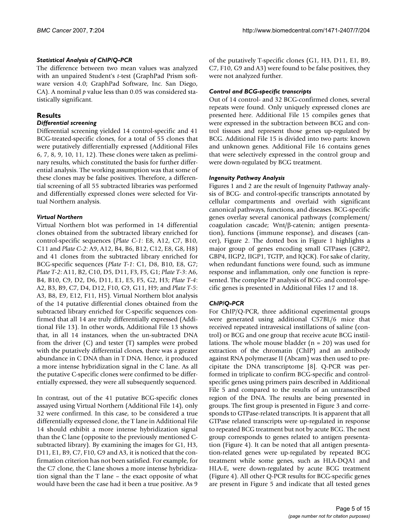#### *Statistical Analysis of ChIP/Q-PCR*

The difference between two mean values was analyzed with an unpaired Student's *t*-test (GraphPad Prism software version 4.0; GraphPad Software, Inc. San Diego, CA). A nominal *p* value less than 0.05 was considered statistically significant.

#### **Results**

#### *Differential screening*

Differential screening yielded 14 control-specific and 41 BCG-treated-specific clones, for a total of 55 clones that were putatively differentially expressed (Additional Files 6, 7, 8, 9, 10, 11, 12). These clones were taken as preliminary results, which constituted the basis for further differential analysis. The working assumption was that some of these clones may be false positives. Therefore, a differential screening of all 55 subtracted libraries was performed and differentially expressed clones were selected for Virtual Northern analysis.

#### *Virtual Northern*

Virtual Northern blot was performed in 14 differential clones obtained from the subtracted library enriched for control-specific sequences (*Plate C-1*: E8, A12, C7, B10, C11 and *Plate C-2*: A9, A12, B4, B6, B12, C12, E8, G8, H8) and 41 clones from the subtracted library enriched for BCG-specific sequences (*Plate T-1*: C1, D8, B10, E8, G7; *Plate T-2*: A11, B2, C10, D5, D11, F3, F5, G1; *Plate T-3*: A6, B4, B10, C9, D2, D6, D11, E1, E5, F5, G2, H3; *Plate T-4*: A2, B3, B9, C7, D4, D12, F10, G9, G11, H9; and *Plate T-5*: A3, B8, E9, E12, F11, H5). Virtual Northern blot analysis of the 14 putative differential clones obtained from the subtracted library enriched for C-specific sequences confirmed that all 14 are truly differentially expressed (Additional File 13). In other words, Additional File 13 shows that, in all 14 instances, when the un-subtracted DNA from the driver (C) and tester (T) samples were probed with the putatively differential clones, there was a greater abundance in C DNA than in T DNA. Hence, it produced a more intense hybridization signal in the C lane. As all the putative C-specific clones were confirmed to be differentially expressed, they were all subsequently sequenced.

In contrast, out of the 41 putative BCG-specific clones assayed using Virtual Northern (Additional File 14), only 32 were confirmed. In this case, to be considered a true differentially expressed clone, the T lane in Additional File 14 should exhibit a more intense hybridization signal than the C lane (opposite to the previously mentioned Csubtracted library). By examining the images for G1, H3, D11, E1, B9, C7, F10, G9 and A3, it is noticed that the confirmation criterion has not been satisfied. For example, for the C7 clone, the C lane shows a more intense hybridization signal than the T lane – the exact opposite of what would have been the case had it been a true positive. As 9

of the putatively T-specific clones (G1, H3, D11, E1, B9, C7, F10, G9 and A3) were found to be false positives, they were not analyzed further.

### *Control and BCG-specific transcripts*

Out of 14 control- and 32 BCG-confirmed clones, several repeats were found. Only uniquely expressed clones are presented here. Additional File 15 compiles genes that were expressed in the subtraction between BCG and control tissues and represent those genes up-regulated by BCG. Additional File 15 is divided into two parts: known and unknown genes. Additional File 16 contains genes that were selectively expressed in the control group and were down-regulated by BCG treatment.

#### *Ingenuity Pathway Analysis*

Figures 1 and 2 are the result of Ingenuity Pathway analysis of BCG- and control-specific transcripts annotated by cellular compartments and overlaid with significant canonical pathways, functions, and diseases. BCG-specific genes overlay several canonical pathways (complement/ coagulation cascade; Wnt/β-catenin; antigen presentation), functions (immune response), and diseases (cancer), Figure 2. The dotted box in Figure 1 highlights a major group of genes encoding small GTPases (GBP2, GBP4, IIGP2, IIGP1, TGTP, and IQCK). For sake of clarity, when redundant functions were found, such as immune response and inflammation, only one function is represented. The complete IP analysis of BCG- and control-specific genes is presented in Additional Files 17 and 18.

#### *ChIP/Q-PCR*

For ChIP/Q-PCR, three additional experimental groups were generated using additional C57BL/6 mice that received repeated intravesical instillations of saline (control) or BCG and one group that receive acute BCG instillations. The whole mouse bladder  $(n = 20)$  was used for extraction of the chromatin (ChIP) and an antibody against RNA polymerase II (Abcam) was then used to precipitate the DNA transcriptome [8]. Q-PCR was performed in triplicate to confirm BCG-specific and controlspecific genes using primers pairs described in Additional File 5 and compared to the results of an untranscribed region of the DNA. The results are being presented in groups. The first group is presented in Figure 3 and corresponds to GTPase-related transcripts. It is apparent that all GTPase related transcripts were up-regulated in response to repeated BCG treatment but not by acute BCG. The next group corresponds to genes related to antigen presentation (Figure 4). It can be noted that all antigen presentation-related genes were up-regulated by repeated BCG treatment while some genes, such as HLA-DQA1 and HLA-E, were down-regulated by acute BCG treatment (Figure 4). All other Q-PCR results for BCG-specific genes are present in Figure 5 and indicate that all tested genes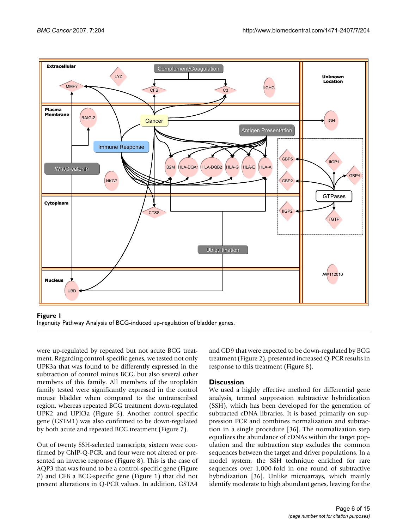

Ingenuity Pathway Analysis of BCG-induced up-regulation of bladder genes.

were up-regulated by repeated but not acute BCG treatment. Regarding control-specific genes, we tested not only UPK3a that was found to be differently expressed in the subtraction of control minus BCG, but also several other members of this family. All members of the uroplakin family tested were significantly expressed in the control mouse bladder when compared to the untranscribed region, whereas repeated BCG treatment down-regulated UPK2 and UPK3a (Figure 6). Another control specific gene (GSTM1) was also confirmed to be down-regulated by both acute and repeated BCG treatment (Figure 7).

Out of twenty SSH-selected transcripts, sixteen were confirmed by ChIP-Q-PCR, and four were not altered or presented an inverse response (Figure 8). This is the case of AQP3 that was found to be a control-specific gene (Figure 2) and CFB a BCG-specific gene (Figure 1) that did not present alterations in Q-PCR values. In addition, GSTA4

and CD9 that were expected to be down-regulated by BCG treatment (Figure 2), presented increased Q-PCR results in response to this treatment (Figure 8).

#### **Discussion**

We used a highly effective method for differential gene analysis, termed suppression subtractive hybridization (SSH), which has been developed for the generation of subtracted cDNA libraries. It is based primarily on suppression PCR and combines normalization and subtraction in a single procedure [36]. The normalization step equalizes the abundance of cDNAs within the target population and the subtraction step excludes the common sequences between the target and driver populations. In a model system, the SSH technique enriched for rare sequences over 1,000-fold in one round of subtractive hybridization [36]. Unlike microarrays, which mainly identify moderate to high abundant genes, leaving for the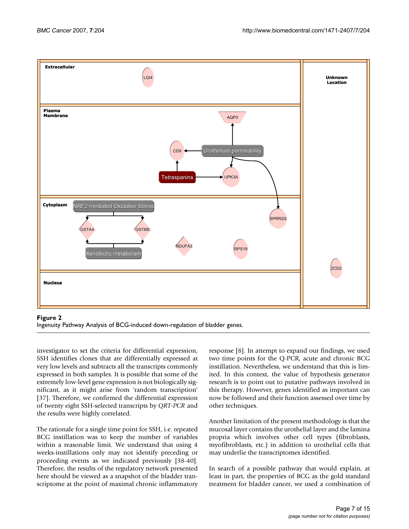

Ingenuity Pathway Analysis of BCG-induced down-regulation of bladder genes.

investigator to set the criteria for differential expression, SSH identifies clones that are differentially expressed at very low levels and subtracts all the transcripts commonly expressed in both samples. It is possible that some of the extremely low-level gene expression is not biologically significant, as it might arise from 'random transcription' [37]. Therefore, we confirmed the differential expression of twenty eight SSH-selected transcripts by *QRT-PCR* and the results were highly correlated.

The rationale for a single time point for SSH, i.e. repeated BCG instillation was to keep the number of variables within a reasonable limit. We understand that using 4 weeks-instillations only may not identify preceding or proceeding events as we indicated previously [38-40]. Therefore, the results of the regulatory network presented here should be viewed as a snapshot of the bladder transcriptome at the point of maximal chronic inflammatory response [8]. In attempt to expand our findings, we used two time points for the Q-PCR, acute and chronic BCG instillation. Nevertheless, we understand that this is limited. In this context, the value of hypothesis generator research is to point out to putative pathways involved in this therapy. However, genes identified as important can now be followed and their function assessed over time by other techniques.

Another limitation of the present methodology is that the mucosal layer contains the urothelial layer and the lamina propria which involves other cell types (fibroblasts, myofibroblasts, etc.) in addition to urothelial cells that may underlie the transcriptomes identified.

In search of a possible pathway that would explain, at least in part, the properties of BCG as the gold standard treatment for bladder cancer, we used a combination of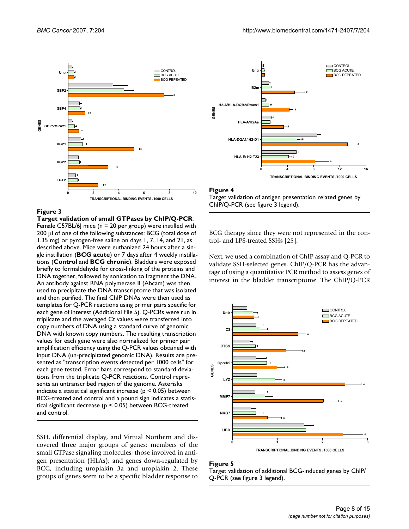

#### Figure 3

**Target validation of small GTPases by ChIP/Q-PCR**. Female C57BL/6J mice (n = 20 per group) were instilled with 200 μl of one of the following substances: BCG (total dose of 1.35 mg) or pyrogen-free saline on days 1, 7, 14, and 21, as described above. Mice were euthanized 24 hours after a single instillation (**BCG acute**) or 7 days after 4 weekly instillations (**Control** and **BCG chronic**). Bladders were exposed briefly to formaldehyde for cross-linking of the proteins and DNA together, followed by sonication to fragment the DNA. An antibody against RNA polymerase II (Abcam) was then used to precipitate the DNA transcriptome that was isolated and then purified. The final ChIP DNAs were then used as templates for Q-PCR reactions using primer pairs specific for each gene of interest (Additional File 5). Q-PCRs were run in triplicate and the averaged Ct values were transferred into copy numbers of DNA using a standard curve of genomic DNA with known copy numbers. The resulting transcription values for each gene were also normalized for primer pair amplification efficiency using the Q-PCR values obtained with input DNA (un-precipitated genomic DNA). Results are presented as "transcription events detected per 1000 cells" for each gene tested. Error bars correspond to standard deviations from the triplicate Q-PCR reactions. Control represents an untranscribed region of the genome. Asterisks indicate a statistical significant increase ( $p < 0.05$ ) between BCG-treated and control and a pound sign indicates a statistical significant decrease (p < 0.05) between BCG-treated and control.

SSH, differential display, and Virtual Northern and discovered three major groups of genes: members of the small GTPase signaling molecules; those involved in antigen presentation (HLAs); and genes down-regulated by BCG, including uroplakin 3a and uroplakin 2. These groups of genes seem to be a specific bladder response to



#### Figure 4

Target validation of antigen presentation related genes by ChIP/Q-PCR (see figure 3 legend).

BCG therapy since they were not represented in the control- and LPS-treated SSHs [25].

Next, we used a combination of ChIP assay and Q-PCR to validate SSH-selected genes. ChIP/Q-PCR has the advantage of using a quantitative PCR method to assess genes of interest in the bladder transcriptome. The ChIP/Q-PCR



#### Figure 5

Target validation of additional BCG-induced genes by ChIP/ Q-PCR (see figure 3 legend).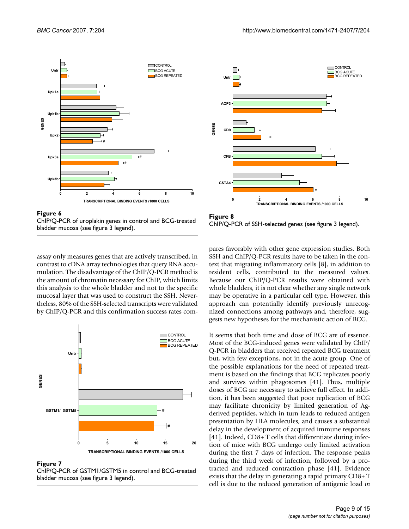

Figure 6

ChIP/Q-PCR of uroplakin genes in control and BCG-treated bladder mucosa (see figure 3 legend).

assay only measures genes that are actively transcribed, in contrast to cDNA array technologies that query RNA accumulation. The disadvantage of the ChIP/Q-PCR method is the amount of chromatin necessary for ChIP, which limits this analysis to the whole bladder and not to the specific mucosal layer that was used to construct the SSH. Nevertheless, 80% of the SSH-selected transcripts were validated by ChIP/Q-PCR and this confirmation success rates com-



Figure 7

ChIP/Q-PCR of GSTM1/GSTM5 in control and BCG-treated bladder mucosa (see figure 3 legend).



Figure 8 ChIP/Q-PCR of SSH-selected genes (see figure 3 legend).

pares favorably with other gene expression studies. Both SSH and ChIP/Q-PCR results have to be taken in the context that migrating inflammatory cells [8], in addition to resident cells, contributed to the measured values. Because our ChIP/Q-PCR results were obtained with whole bladders, it is not clear whether any single network may be operative in a particular cell type. However, this approach can potentially identify previously unrecognized connections among pathways and, therefore, suggests new hypotheses for the mechanistic action of BCG.

It seems that both time and dose of BCG are of essence. Most of the BCG-induced genes were validated by ChIP/ Q-PCR in bladders that received repeated BCG treatment but, with few exceptions, not in the acute group. One of the possible explanations for the need of repeated treatment is based on the findings that BCG replicates poorly and survives within phagosomes [41]. Thus, multiple doses of BCG are necessary to achieve full effect. In addition, it has been suggested that poor replication of BCG may facilitate chronicity by limited generation of Agderived peptides, which in turn leads to reduced antigen presentation by HLA molecules, and causes a substantial delay in the development of acquired immune responses [41]. Indeed, CD8+ T cells that differentiate during infection of mice with BCG undergo only limited activation during the first 7 days of infection. The response peaks during the third week of infection, followed by a protracted and reduced contraction phase [41]. Evidence exists that the delay in generating a rapid primary CD8+ T cell is due to the reduced generation of antigenic load *in*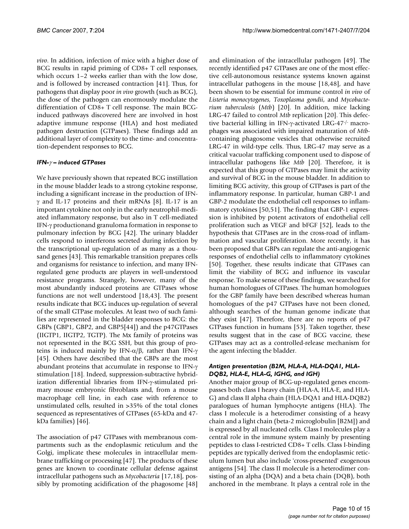*vivo*. In addition, infection of mice with a higher dose of BCG results in rapid priming of CD8+ T cell responses, which occurs 1–2 weeks earlier than with the low dose, and is followed by increased contraction [41]. Thus, for pathogens that display poor *in vivo* growth (such as BCG), the dose of the pathogen can enormously modulate the differentiation of CD8+ T cell response. The main BCGinduced pathways discovered here are involved in host adaptive immune response (HLA) and host mediated pathogen destruction (GTPases). These findings add an additional layer of complexity to the time- and concentration-dependent responses to BCG.

#### *IFN-*γ *– induced GTPases*

We have previously shown that repeated BCG instillation in the mouse bladder leads to a strong cytokine response, including a significant increase in the production of IFNγ and IL-17 proteins and their mRNAs [8]. IL-17 is an important cytokine not only in the early neutrophil-mediated inflammatory response, but also in T cell-mediated IFN-γ productionand granuloma formation in response to pulmonary infection by BCG [42]. The urinary bladder cells respond to interferons secreted during infection by the transcriptional up-regulation of as many as a thousand genes [43]. This remarkable transition prepares cells and organisms for resistance to infection, and many IFNregulated gene products are players in well-understood resistance programs. Strangely, however, many of the most abundantly induced proteins are GTPases whose functions are not well understood [18,43]. The present results indicate that BCG induces up-regulation of several of the small GTPase molecules. At least two of such families are represented in the bladder responses to BCG: the GBPs (GBP1, GBP2, and GBP5[44]) and the p47GTPases (IIGTP1, IIGTP2, TGTP). The Mx family of proteins was not represented in the BCG SSH, but this group of proteins is induced mainly by IFN- $\alpha/\beta$ , rather than IFN-γ [45]. Others have described that the GBPs are the most abundant proteins that accumulate in response to IFN-γ stimulation [18]. Indeed, suppression-subtractive hybridization differential libraries from IFN-γ-stimulated primary mouse embryonic fibroblasts and, from a mouse macrophage cell line, in each case with reference to unstimulated cells, resulted in >35% of the total clones sequenced as representatives of GTPases (65-kDa and 47 kDa families) [46].

The association of p47 GTPases with membranous compartments such as the endoplasmic reticulum and the Golgi, implicate these molecules in intracellular membrane trafficking or processing [47]. The products of these genes are known to coordinate cellular defense against intracellular pathogens such as *Mycobacteria* [17,18], possibly by promoting acidification of the phagosome [48]

and elimination of the intracellular pathogen [49]. The recently identified p47 GTPases are one of the most effective cell-autonomous resistance systems known against intracellular pathogens in the mouse [18,48], and have been shown to be essential for immune control *in vivo* of *Listeria monocytogenes, Toxoplasma gondii*, and *Mycobacterium tuberculosis* (*Mtb*) [20]. In addition, mice lacking LRG-47 failed to control *Mtb* replication [20]. This defective bacterial killing in IFN-γ-activated LRG-47-/- macrophages was associated with impaired maturation of *Mtb*containing phagosome vesicles that otherwise recruited LRG-47 in wild-type cells. Thus, LRG-47 may serve as a critical vacuolar trafficking component used to dispose of intracellular pathogens like *Mtb* [20]. Therefore, it is expected that this group of GTPases may limit the activity and survival of BCG in the mouse bladder. In addition to limiting BCG activity, this group of GTPases is part of the inflammatory response. In particular, human GBP-1 and GBP-2 modulate the endothelial cell responses to inflammatory cytokines [50,51]. The finding that GBP-1 expression is inhibited by potent activators of endothelial cell proliferation such as VEGF and bFGF [52], leads to the hypothesis that GTPases are in the cross-road of inflammation and vascular proliferation. More recently, it has been proposed that GBPs can regulate the anti-angiogenic responses of endothelial cells to inflammatory cytokines [50]. Together, these results indicate that GTPases can limit the viability of BCG and influence its vascular response. To make sense of these findings, we searched for human homologues of GTPases. The human homologues for the GBP family have been described whereas human homologues of the p47 GTPases have not been cloned, although searches of the human genome indicate that they exist [47]. Therefore, there are no reports of p47 GTPases function in humans [53]. Taken together, these results suggest that in the case of BCG vaccine, these GTPases may act as a controlled-release mechanism for the agent infecting the bladder.

## *Antigen presentation (B2M, HLA-A, HLA-DQA1, HLA-DQB2, HLA-E, HLA-G, IGHG, and IGH)*

Another major group of BCG-up-regulated genes encompasses both class I heavy chain (HLA-A, HLA-E, and HLA-G) and class II alpha chain (HLA-DQA1 and HLA-DQB2) paralogues of human lymphocyte antigens (HLA). The class I molecule is a heterodimer consisting of a heavy chain and a light chain (beta-2 microglobulin [B2M]) and is expressed by all nucleated cells. Class I molecules play a central role in the immune system mainly by presenting peptides to class I-restricted CD8+ T cells. Class I-binding peptides are typically derived from the endoplasmic reticulum lumen but also include 'cross-presented' exogenous antigens [54]. The class II molecule is a heterodimer consisting of an alpha (DQA) and a beta chain (DQB), both anchored in the membrane. It plays a central role in the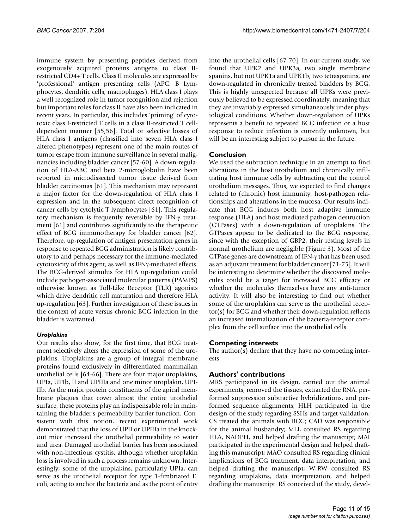immune system by presenting peptides derived from exogenously acquired proteins antigens to class IIrestricted CD4+ T cells. Class II molecules are expressed by 'professional' antigen presenting cells (APC: B Lymphocytes, dendritic cells, macrophages). HLA class I plays a well recognized role in tumor recognition and rejection but important roles for class II have also been indicated in recent years. In particular, this includes 'priming' of cytotoxic class I-restricted T cells in a class II-restricted T celldependent manner [55,56]. Total or selective losses of HLA class I antigens (classified into seven HLA class I altered phenotypes) represent one of the main routes of tumor escape from immune surveillance in several malignancies including bladder cancer [57-60]. A down-regulation of HLA-ABC and beta 2-microglobulin have been reported in microdissected tumor tissue derived from bladder carcinomas [61]. This mechanism may represent a major factor for the down-regulation of HLA class I expression and in the subsequent direct recognition of cancer cells by cytolytic T lymphocytes [61]. This regulatory mechanism is frequently reversible by IFN-γ treatment [61] and contributes significantly to the therapeutic effect of BCG immunotherapy for bladder cancer [62]. Therefore, up-regulation of antigen presentation genes in response to repeated BCG administration is likely contributory to and perhaps necessary for the immune-mediated cytotoxicity of this agent, as well as IFNγ-mediated effects. The BCG-derived stimulus for HLA up-regulation could include pathogen-associated molecular patterns (PAMPS) otherwise known as Toll-Like Receptor (TLR) agonists which drive dendritic cell maturation and therefore HLA up-regulation [63]. Further investigation of these issues in the context of acute versus chronic BCG infection in the bladder is warranted.

#### *Uroplakins*

Our results also show, for the first time, that BCG treatment selectively alters the expression of some of the uroplakins. Uroplakins are a group of integral membrane proteins found exclusively in differentiated mammalian urothelial cells [64-66]. There are four major uroplakins, UPIa, UPIb, II and UPIIIa and one minor uroplakin, UPI-IIb. As the major protein constituents of the apical membrane plaques that cover almost the entire urothelial surface, these proteins play an indispensable role in maintaining the bladder's permeability barrier function. Consistent with this notion, recent experimental work demonstrated that the loss of UPII or UPIIIa in the knockout mice increased the urothelial permeability to water and urea. Damaged urothelial barrier has been associated with non-infectious cystitis, although whether uroplakin loss is involved in such a process remains unknown. Interestingly, some of the uroplakins, particularly UPIa, can serve as the urothelial receptor for type 1-fimbriated E. coli, acting to anchor the bacteria and as the point of entry into the urothelial cells [67-70]. In our current study, we found that UPK2 and UPK3a, two single membrane spanins, but not UPK1a and UPK1b, two tetraspanins, are down-regulated in chronically treated bladders by BCG. This is highly unexpected because all UPKs were previously believed to be expressed coordinately, meaning that they are invariably expressed simultaneously under physiological conditions. Whether down-regulation of UPKs represents a benefit to repeated BCG infection or a host response to reduce infection is currently unknown, but will be an interesting subject to pursue in the future.

#### **Conclusion**

We used the subtraction technique in an attempt to find alterations in the host urothelium and chronically infiltrating host immune cells by subtracting out the control urothelium messages. Thus, we expected to find changes related to (chronic) host immunity, host-pathogen relationships and alterations in the mucosa. Our results indicate that BCG induces both host adaptive immune response (HLA) and host mediated pathogen destruction (GTPases) with a down-regulation of uroplakins. The GTPases appear to be dedicated to the BCG response, since with the exception of GBP2, their resting levels in normal urothelium are negligible (Figure 3). Most of the GTPase genes are downstream of IFN-γ that has been used as an adjuvant treatment for bladder cancer [71-75]. It will be interesting to determine whether the discovered molecules could be a target for increased BCG efficacy or whether the molecules themselves have any anti-tumor activity. It will also be interesting to find out whether some of the uroplakins can serve as the urothelial receptor(s) for BCG and whether their down-regulation reflects an increased internalization of the bacteria-receptor complex from the cell surface into the urothelial cells.

#### **Competing interests**

The author(s) declare that they have no competing interests.

#### **Authors' contributions**

MRS participated in its design, carried out the animal experiments, removed the tissues, extracted the RNA, performed suppression subtractive hybridizations, and performed sequence alignments; HLH participated in the design of the study regarding SSHs and target validation; CS treated the animals with BCG; CAD was responsible for the animal husbandry; MLL consulted RS regarding HLA, NADPH, and helped drafting the manuscript; MAI participated in the experimental design and helped drafting this manuscript; MAO consulted RS regarding clinical implications of BCG treatment, data interpretation, and helped drafting the manuscript; W-RW consulted RS regarding uroplakins, data interpretation, and helped drafting the manuscript. RS conceived of the study, devel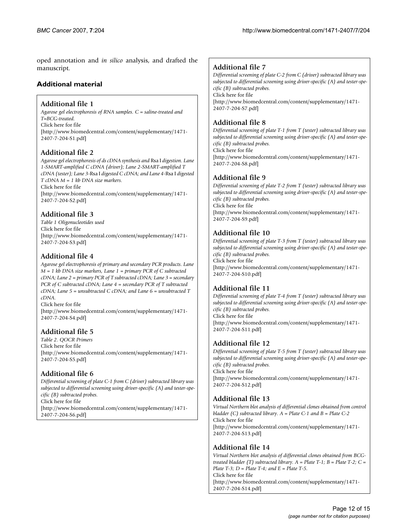oped annotation and *in silico* analysis, and drafted the manuscript.

# **Additional material**

# **Additional file 1**

*Agarose gel electrophoresis of RNA samples. C = saline-treated and T=BCG-treated.* Click here for file [\[http://www.biomedcentral.com/content/supplementary/1471-](http://www.biomedcentral.com/content/supplementary/1471-2407-7-204-S1.pdf) 2407-7-204-S1.pdf]

# **Additional file 2**

*Agarose gel electrophoresis of ds cDNA synthesis and* Rsa I *digestion. Lane 1-SMART-amplified C cDNA (driver); Lane 2-SMART-amplified T cDNA (tester); Lane 3-*Rsa I *digested C cDNA; and Lane 4-*Rsa I *digested T cDNA M = 1 kb DNA size markers.* Click here for file [\[http://www.biomedcentral.com/content/supplementary/1471-](http://www.biomedcentral.com/content/supplementary/1471-2407-7-204-S2.pdf)

**Additional file 3**

2407-7-204-S2.pdf]

*Table 1 Oligonucleotides used* Click here for file [\[http://www.biomedcentral.com/content/supplementary/1471-](http://www.biomedcentral.com/content/supplementary/1471-2407-7-204-S3.pdf) 2407-7-204-S3.pdf]

# **Additional file 4**

*Agarose gel electrophoresis of primary and secondary PCR products. Lane M = 1 kb DNA size markers, Lane 1 = primary PCR of C subtracted cDNA; Lane 2 = primary PCR of T subtracted cDNA; Lane 3 = secondary PCR of C subtracted cDNA; Lane 4 = secondary PCR of T subtracted cDNA; Lane 5 = unsubtracted C cDNA; and Lane 6 = unsubtracted T cDNA.* Click here for file

[\[http://www.biomedcentral.com/content/supplementary/1471-](http://www.biomedcentral.com/content/supplementary/1471-2407-7-204-S4.pdf) 2407-7-204-S4.pdf]

# **Additional file 5**

*Table 2. QOCR Primers* Click here for file [\[http://www.biomedcentral.com/content/supplementary/1471-](http://www.biomedcentral.com/content/supplementary/1471-2407-7-204-S5.pdf) 2407-7-204-S5.pdf]

# **Additional file 6**

*Differential screening of plate C-1 from C (driver) subtracted library was subjected to differential screening using driver-specific (A) and tester-specific (B) subtracted probes.* Click here for file [\[http://www.biomedcentral.com/content/supplementary/1471-](http://www.biomedcentral.com/content/supplementary/1471-2407-7-204-S6.pdf) 2407-7-204-S6.pdf]

# **Additional file 7**

*Differential screening of plate C-2 from C (driver) subtracted library was subjected to differential screening using driver-specific (A) and tester-specific (B) subtracted probes.* Click here for file [\[http://www.biomedcentral.com/content/supplementary/1471-](http://www.biomedcentral.com/content/supplementary/1471-2407-7-204-S7.pdf) 2407-7-204-S7.pdf]

# **Additional file 8**

*Differential screening of plate T-1 from T (tester) subtracted library was subjected to differential screening using driver-specific (A) and tester-specific (B) subtracted probes.* Click here for file

[\[http://www.biomedcentral.com/content/supplementary/1471-](http://www.biomedcentral.com/content/supplementary/1471-2407-7-204-S8.pdf) 2407-7-204-S8.pdf]

# **Additional file 9**

*Differential screening of plate T-2 from T (tester) subtracted library was subjected to differential screening using driver-specific (A) and tester-specific (B) subtracted probes.* Click here for file [\[http://www.biomedcentral.com/content/supplementary/1471-](http://www.biomedcentral.com/content/supplementary/1471-2407-7-204-S9.pdf) 2407-7-204-S9.pdf]

# **Additional file 10**

*Differential screening of plate T-3 from T (tester) subtracted library was subjected to differential screening using driver-specific (A) and tester-specific (B) subtracted probes.* Click here for file [\[http://www.biomedcentral.com/content/supplementary/1471-](http://www.biomedcentral.com/content/supplementary/1471-2407-7-204-S10.pdf) 2407-7-204-S10.pdf]

# **Additional file 11**

*Differential screening of plate T-4 from T (tester) subtracted library was subjected to differential screening using driver-specific (A) and tester-specific (B) subtracted probes.* Click here for file [\[http://www.biomedcentral.com/content/supplementary/1471-](http://www.biomedcentral.com/content/supplementary/1471-2407-7-204-S11.pdf) 2407-7-204-S11.pdf]

# **Additional file 12**

*Differential screening of plate T-5 from T (tester) subtracted library was subjected to differential screening using driver-specific (A) and tester-specific (B) subtracted probes.* Click here for file [\[http://www.biomedcentral.com/content/supplementary/1471-](http://www.biomedcentral.com/content/supplementary/1471-2407-7-204-S12.pdf) 2407-7-204-S12.pdf]

# **Additional file 13**

*Virtual Northern blot analysis of differential clones obtained from control bladder (C) subtracted library. A = Plate C-1 and B = Plate C-2* Click here for file [\[http://www.biomedcentral.com/content/supplementary/1471-](http://www.biomedcentral.com/content/supplementary/1471-2407-7-204-S13.pdf) 2407-7-204-S13.pdf]

# **Additional file 14**

*Virtual Northern blot analysis of differential clones obtained from BCGtreated bladder (T) subtracted library.*  $A = Plate T-1$ ;  $B = Plate T-2$ ;  $C =$ *Plate T-3; D = Plate T-4; and E = Plate T-5.* Click here for file [\[http://www.biomedcentral.com/content/supplementary/1471-](http://www.biomedcentral.com/content/supplementary/1471-2407-7-204-S14.pdf) 2407-7-204-S14.pdf]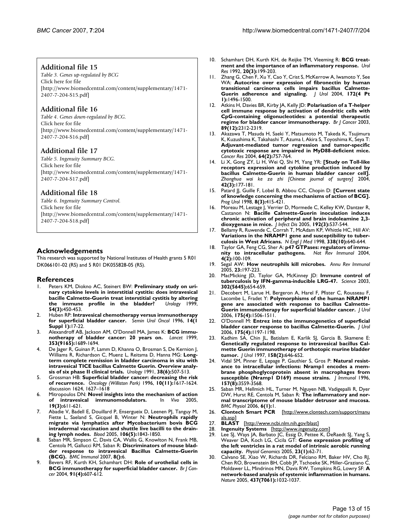#### **Additional file 15**

*Table 3. Genes up-regulated by BCG* Click here for file [\[http://www.biomedcentral.com/content/supplementary/1471-](http://www.biomedcentral.com/content/supplementary/1471-2407-7-204-S15.pdf) 2407-7-204-S15.pdf]

#### **Additional file 16**

*Table 4. Genes down-regulated by BCG.* Click here for file [\[http://www.biomedcentral.com/content/supplementary/1471-](http://www.biomedcentral.com/content/supplementary/1471-2407-7-204-S16.pdf) 2407-7-204-S16.pdf]

## **Additional file 17**

*Table 5. Ingenuity Summary BCG.* Click here for file [\[http://www.biomedcentral.com/content/supplementary/1471-](http://www.biomedcentral.com/content/supplementary/1471-2407-7-204-S17.pdf) 2407-7-204-S17.pdf]

## **Additional file 18**

*Table 6. Ingenuity Summary Control.* Click here for file [\[http://www.biomedcentral.com/content/supplementary/1471-](http://www.biomedcentral.com/content/supplementary/1471-2407-7-204-S18.pdf) 2407-7-204-S18.pdf]

#### **Acknowledgements**

This research was supported by National Institutes of Health grants 5 R01 DK066101-02 (RS) and 5 R01 DK055828-05 (RS).

#### **References**

- Peters KM, Diokno AC, Steinert BW: [Preliminary study on uri](http://www.ncbi.nlm.nih.gov/entrez/query.fcgi?cmd=Retrieve&db=PubMed&dopt=Abstract&list_uids=10475352)**[nary cytokine levels in interstitial cystitis: does intravesical](http://www.ncbi.nlm.nih.gov/entrez/query.fcgi?cmd=Retrieve&db=PubMed&dopt=Abstract&list_uids=10475352) bacille Calmette-Guerin treat interstitial cystitis by altering [the immune profile in the bladder?](http://www.ncbi.nlm.nih.gov/entrez/query.fcgi?cmd=Retrieve&db=PubMed&dopt=Abstract&list_uids=10475352)** *Urology* 1999, **54(3):**450-453.
- 2. Huben RP: **[Intravesical chemotherapy versus immunotherapy](http://www.ncbi.nlm.nih.gov/entrez/query.fcgi?cmd=Retrieve&db=PubMed&dopt=Abstract&list_uids=8727806) [for superficial bladder cancer.](http://www.ncbi.nlm.nih.gov/entrez/query.fcgi?cmd=Retrieve&db=PubMed&dopt=Abstract&list_uids=8727806)** *Semin Urol Oncol* 1996, **14(1 Suppl 1):**17-22.
- 3. Alexandroff AB, Jackson AM, O'Donnell MA, James K: **[BCG immu](http://www.ncbi.nlm.nih.gov/entrez/query.fcgi?cmd=Retrieve&db=PubMed&dopt=Abstract&list_uids=10335805)[notherapy of bladder cancer: 20 years on.](http://www.ncbi.nlm.nih.gov/entrez/query.fcgi?cmd=Retrieve&db=PubMed&dopt=Abstract&list_uids=10335805)** *Lancet* 1999, **353(9165):**1689-1694.
- 4. De Jager R, Guinan P, Lamm D, Khanna O, Brosman S, De Kernion J, Williams R, Richardson C, Muenz L, Reitsma D, Hanna MG: **[Long](http://www.ncbi.nlm.nih.gov/entrez/query.fcgi?cmd=Retrieve&db=PubMed&dopt=Abstract&list_uids=1836081)[term complete remission in bladder carcinoma in situ with](http://www.ncbi.nlm.nih.gov/entrez/query.fcgi?cmd=Retrieve&db=PubMed&dopt=Abstract&list_uids=1836081) intravesical TICE bacillus Calmette Guerin. Overview analy[sis of six phase II clinical trials.](http://www.ncbi.nlm.nih.gov/entrez/query.fcgi?cmd=Retrieve&db=PubMed&dopt=Abstract&list_uids=1836081)** *Urology* 1991, **38(6):**507-513.
- 5. Grossman HB: **[Superficial bladder cancer: decreasing the risk](http://www.ncbi.nlm.nih.gov/entrez/query.fcgi?cmd=Retrieve&db=PubMed&dopt=Abstract&list_uids=8953583) [of recurrence.](http://www.ncbi.nlm.nih.gov/entrez/query.fcgi?cmd=Retrieve&db=PubMed&dopt=Abstract&list_uids=8953583)** *Oncology (Williston Park)* 1996, **10(11):**1617-1624. discussion 1624, 1627–1618
- 6. Mitropoulos DN: **[Novel insights into the mechanism of action](http://www.ncbi.nlm.nih.gov/entrez/query.fcgi?cmd=Retrieve&db=PubMed&dopt=Abstract&list_uids=15875784)** [of intravesical immunomodulators.](http://www.ncbi.nlm.nih.gov/entrez/query.fcgi?cmd=Retrieve&db=PubMed&dopt=Abstract&list_uids=15875784) **19(3):**611-621.
- 7. Abadie V, Badell E, Douillard P, Ensergueix D, Leenen PJ, Tanguy M, Fiette L, Saeland S, Gicquel B, Winter N: **[Neutrophils rapidly](http://www.ncbi.nlm.nih.gov/entrez/query.fcgi?cmd=Retrieve&db=PubMed&dopt=Abstract&list_uids=15886329) [migrate via lymphatics after Mycobacterium bovis BCG](http://www.ncbi.nlm.nih.gov/entrez/query.fcgi?cmd=Retrieve&db=PubMed&dopt=Abstract&list_uids=15886329) intradermal vaccination and shuttle live bacilli to the drain[ing lymph nodes.](http://www.ncbi.nlm.nih.gov/entrez/query.fcgi?cmd=Retrieve&db=PubMed&dopt=Abstract&list_uids=15886329)** *Blood* 2005, **106(5):**1843-1850.
- Saban MR, Simpson C, Davis CA, Wallis G, Knowlton N, Frank MB, Centola M, Gallucci RM, Saban R: **[Discriminators of mouse blad](http://www.ncbi.nlm.nih.gov/entrez/query.fcgi?cmd=Retrieve&db=PubMed&dopt=Abstract&list_uids=17506885)[der response to intravesical Bacillus Calmette-Guerin](http://www.ncbi.nlm.nih.gov/entrez/query.fcgi?cmd=Retrieve&db=PubMed&dopt=Abstract&list_uids=17506885) [\(BCG\).](http://www.ncbi.nlm.nih.gov/entrez/query.fcgi?cmd=Retrieve&db=PubMed&dopt=Abstract&list_uids=17506885)** *BMC Immunol* 2007, **8():**6.
- 9. Bevers RF, Kurth KH, Schamhart DH: **[Role of urothelial cells in](http://www.ncbi.nlm.nih.gov/entrez/query.fcgi?cmd=Retrieve&db=PubMed&dopt=Abstract&list_uids=15266312) [BCG immunotherapy for superficial bladder cancer.](http://www.ncbi.nlm.nih.gov/entrez/query.fcgi?cmd=Retrieve&db=PubMed&dopt=Abstract&list_uids=15266312)** *Br J Cancer* 2004, **91(4):**607-612.
- 10. Schamhart DH, Kurth KH, de Reijke TM, Vleeming R: **[BCG treat](http://www.ncbi.nlm.nih.gov/entrez/query.fcgi?cmd=Retrieve&db=PubMed&dopt=Abstract&list_uids=1615581)[ment and the importance of an inflammatory response.](http://www.ncbi.nlm.nih.gov/entrez/query.fcgi?cmd=Retrieve&db=PubMed&dopt=Abstract&list_uids=1615581)** *Urol Res* 1992, **20(3):**199-203.
- 11. Zhang G, Chen F, Xu Y, Cao Y, Crist S, McKerrow A, Iwamoto Y, See WA: **[Autocrine over expression of fibronectin by human](http://www.ncbi.nlm.nih.gov/entrez/query.fcgi?cmd=Retrieve&db=PubMed&dopt=Abstract&list_uids=15371878) [transitional carcinoma cells impairs bacillus Calmette-](http://www.ncbi.nlm.nih.gov/entrez/query.fcgi?cmd=Retrieve&db=PubMed&dopt=Abstract&list_uids=15371878)[Guerin adherence and signaling.](http://www.ncbi.nlm.nih.gov/entrez/query.fcgi?cmd=Retrieve&db=PubMed&dopt=Abstract&list_uids=15371878)** *J Urol* 2004, **172(4 Pt 1):**1496-1500.
- 12. Atkins H, Davies BR, Kirby JA, Kelly JD: **[Polarisation of a T-helper](http://www.ncbi.nlm.nih.gov/entrez/query.fcgi?cmd=Retrieve&db=PubMed&dopt=Abstract&list_uids=14676812) [cell immune response by activation of dendritic cells with](http://www.ncbi.nlm.nih.gov/entrez/query.fcgi?cmd=Retrieve&db=PubMed&dopt=Abstract&list_uids=14676812) CpG-containing oligonucleotides: a potential therapeutic [regime for bladder cancer immunotherapy.](http://www.ncbi.nlm.nih.gov/entrez/query.fcgi?cmd=Retrieve&db=PubMed&dopt=Abstract&list_uids=14676812)** *Br J Cancer* 2003, **89(12):**2312-2319.
- 13. Akazawa T, Masuda H, Saeki Y, Matsumoto M, Takeda K, Tsujimura K, Kuzushima K, Takahashi T, Azuma I, Akira S, Toyoshima K, Seya T: **[Adjuvant-mediated tumor regression and tumor-specific](http://www.ncbi.nlm.nih.gov/entrez/query.fcgi?cmd=Retrieve&db=PubMed&dopt=Abstract&list_uids=14744795) cytotoxic response are impaired in MyD88-deficient mice.** *Cancer Res* 2004, **64(2):**757-764.
- 14. Li X, Gong ZY, Li H, Wei Q, Shi M, Yang YR: **[\[Study on Toll-like](http://www.ncbi.nlm.nih.gov/entrez/query.fcgi?cmd=Retrieve&db=PubMed&dopt=Abstract&list_uids=15062066) [receptors expression and cytokine production induced by](http://www.ncbi.nlm.nih.gov/entrez/query.fcgi?cmd=Retrieve&db=PubMed&dopt=Abstract&list_uids=15062066) bacillus Calmette-Guerin in human bladder cancer cell].** *Zhonghua wai ke za zhi [Chinese journal of surgery]* 2004, **42(3):**177-181.
- 15. Patard JJ, Guille F, Lobel B, Abbou CC, Chopin D: **[\[Current state](http://www.ncbi.nlm.nih.gov/entrez/query.fcgi?cmd=Retrieve&db=PubMed&dopt=Abstract&list_uids=9689679) [of knowledge concerning the mechanisms of action of BCG\].](http://www.ncbi.nlm.nih.gov/entrez/query.fcgi?cmd=Retrieve&db=PubMed&dopt=Abstract&list_uids=9689679)** *Prog Urol* 1998, **8(3):**415-421.
- 16. Moreau M, Lestage J, Verrier D, Mormede C, Kelley KW, Dantzer R, Castanon N: **[Bacille Calmette-Guerin inoculation induces](http://www.ncbi.nlm.nih.gov/entrez/query.fcgi?cmd=Retrieve&db=PubMed&dopt=Abstract&list_uids=15995970) [chronic activation of peripheral and brain indoleamine 2,3](http://www.ncbi.nlm.nih.gov/entrez/query.fcgi?cmd=Retrieve&db=PubMed&dopt=Abstract&list_uids=15995970) [dioxygenase in mice.](http://www.ncbi.nlm.nih.gov/entrez/query.fcgi?cmd=Retrieve&db=PubMed&dopt=Abstract&list_uids=15995970)** *J Infect Dis* 2005, **192(3):**537-544.
- Bellamy R, Ruwende C, Corrah T, McAdam KP, Whittle HC, Hill AV: **[Variations in the NRAMP1 gene and susceptibility to tuber](http://www.ncbi.nlm.nih.gov/entrez/query.fcgi?cmd=Retrieve&db=PubMed&dopt=Abstract&list_uids=9486992)[culosis in West Africans.](http://www.ncbi.nlm.nih.gov/entrez/query.fcgi?cmd=Retrieve&db=PubMed&dopt=Abstract&list_uids=9486992)** *N Engl J Med* 1998, **338(10):**640-644.
- 18. Taylor GA, Feng CG, Sher A: **[p47 GTPases: regulators of immu](http://www.ncbi.nlm.nih.gov/entrez/query.fcgi?cmd=Retrieve&db=PubMed&dopt=Abstract&list_uids=15040583)[nity to intracellular pathogens.](http://www.ncbi.nlm.nih.gov/entrez/query.fcgi?cmd=Retrieve&db=PubMed&dopt=Abstract&list_uids=15040583)** *Nat Rev Immunol* 2004, **4(2):**100-109.
- 19. Segal AW: **[How neutrophils kill microbes.](http://www.ncbi.nlm.nih.gov/entrez/query.fcgi?cmd=Retrieve&db=PubMed&dopt=Abstract&list_uids=15771570)** *Annu Rev Immunol* 2005, **23:**197-223.
- 20. MacMicking JD, Taylor GA, McKinney JD: **[Immune control of](http://www.ncbi.nlm.nih.gov/entrez/query.fcgi?cmd=Retrieve&db=PubMed&dopt=Abstract&list_uids=14576437) [tuberculosis by IFN-gamma-inducible LRG-47.](http://www.ncbi.nlm.nih.gov/entrez/query.fcgi?cmd=Retrieve&db=PubMed&dopt=Abstract&list_uids=14576437)** *Science* 2003, **302(5645):**654-659.
- 21. Decobert M, Larue H, Bergeron A, Harel F, Pfister C, Rousseau F, Lacombe L, Fradet Y: **[Polymorphisms of the human NRAMP1](http://www.ncbi.nlm.nih.gov/entrez/query.fcgi?cmd=Retrieve&db=PubMed&dopt=Abstract&list_uids=16516037) [gene are associated with response to bacillus Calmette-](http://www.ncbi.nlm.nih.gov/entrez/query.fcgi?cmd=Retrieve&db=PubMed&dopt=Abstract&list_uids=16516037)[Guerin immunotherapy for superficial bladder cancer.](http://www.ncbi.nlm.nih.gov/entrez/query.fcgi?cmd=Retrieve&db=PubMed&dopt=Abstract&list_uids=16516037)** *J Urol* 2006, **175(4):**1506-1511.
- 22. O'Donnell M: **[Entrez into the immunogenetics of superficial](http://www.ncbi.nlm.nih.gov/entrez/query.fcgi?cmd=Retrieve&db=PubMed&dopt=Abstract&list_uids=16515958) [bladder cancer response to bacillus Calmette-Guerin.](http://www.ncbi.nlm.nih.gov/entrez/query.fcgi?cmd=Retrieve&db=PubMed&dopt=Abstract&list_uids=16515958)** *J Urol* 2006, **175(4):**1197-1198.
- 23. Kadhim SA, Chin JL, Batislam E, Karlik SJ, Garcia B, Skamene E: **[Genetically regulated response to intravesical bacillus Cal](http://www.ncbi.nlm.nih.gov/entrez/query.fcgi?cmd=Retrieve&db=PubMed&dopt=Abstract&list_uids=9224385)mette Guerin immunotherapy of orthotopic murine bladder [tumor.](http://www.ncbi.nlm.nih.gov/entrez/query.fcgi?cmd=Retrieve&db=PubMed&dopt=Abstract&list_uids=9224385)** *J Urol* 1997, **158(2):**646-652.
- 24. Vidal SM, Pinner E, Lepage P, Gauthier S, Gros P: **[Natural resist](http://www.ncbi.nlm.nih.gov/entrez/query.fcgi?cmd=Retrieve&db=PubMed&dopt=Abstract&list_uids=8871656)[ance to intracellular infections: Nramp1 encodes a mem](http://www.ncbi.nlm.nih.gov/entrez/query.fcgi?cmd=Retrieve&db=PubMed&dopt=Abstract&list_uids=8871656)brane phosphoglycoprotein absent in macrophages from [susceptible \(Nramp1 D169\) mouse strains.](http://www.ncbi.nlm.nih.gov/entrez/query.fcgi?cmd=Retrieve&db=PubMed&dopt=Abstract&list_uids=8871656)** *J Immunol* 1996, **157(8):**3559-3568.
- Saban MR, Hellmich HL, Turner M, Nguyen NB, Vadigepalli R, Dyer DW, Hurst RE, Centola M, Saban R: **[The inflammatory and nor](http://www.ncbi.nlm.nih.gov/entrez/query.fcgi?cmd=Retrieve&db=PubMed&dopt=Abstract&list_uids=16420690)[mal transcriptome of mouse bladder detrusor and mucosa.](http://www.ncbi.nlm.nih.gov/entrez/query.fcgi?cmd=Retrieve&db=PubMed&dopt=Abstract&list_uids=16420690)**
- *BMC Physiol* 2006, **6(1):**1. 26. **Clontech Smart PCR** [[http://www.clontech.com/support/manu](http://www.clontech.com/support/manuals.asp) [als.asp\]](http://www.clontech.com/support/manuals.asp)
- 27. **BLAST** [[http://www.ncbi.nlm.nih.gov/blast\]](http://www.ncbi.nlm.nih.gov/blast)
- 28. **Ingenuity Systems** [[http://www.ingenuity.com\]](http://www.ingenuity.com)
- 29. Lee SJ, Ways JA, Barbato JC, Essig D, Pettee K, DeRaedt SJ, Yang S, Weaver DA, Koch LG, Cicila GT: **[Gene expression profiling of](http://www.ncbi.nlm.nih.gov/entrez/query.fcgi?cmd=Retrieve&db=PubMed&dopt=Abstract&list_uids=16033863) [the left ventricles in a rat model of intrinsic aerobic running](http://www.ncbi.nlm.nih.gov/entrez/query.fcgi?cmd=Retrieve&db=PubMed&dopt=Abstract&list_uids=16033863) [capacity.](http://www.ncbi.nlm.nih.gov/entrez/query.fcgi?cmd=Retrieve&db=PubMed&dopt=Abstract&list_uids=16033863)** *Physiol Genomics* 2005, **23(1):**62-71.
- 30. Calvano SE, Xiao W, Richards DR, Felciano RM, Baker HV, Cho RJ, Chen RO, Brownstein BH, Cobb JP, Tschoeke SK, Miller-Graziano C, Moldawer LL, Mindrinos MN, Davis RW, Tompkins RG, Lowry SF: **[A](http://www.ncbi.nlm.nih.gov/entrez/query.fcgi?cmd=Retrieve&db=PubMed&dopt=Abstract&list_uids=16136080) [network-based analysis of systemic inflammation in humans.](http://www.ncbi.nlm.nih.gov/entrez/query.fcgi?cmd=Retrieve&db=PubMed&dopt=Abstract&list_uids=16136080)** *Nature* 2005, **437(7061):**1032-1037.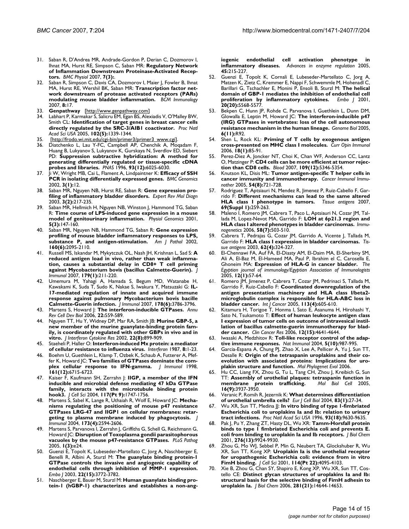- 31. Saban R, D'Andrea MR, Andrade-Gordon P, Derian C, Dozmorov I, Ihnat MA, Hurst RE, Simpson C, Saban MR: **Regulatory Network of Inflammation Downstream Proteinase-Activated Receptors.** *BMC Physiol* 2007, **7(3):**.
- 32. Saban R, Simpson C, Davis CA, Dozmorov I, Maier J, Fowler B, Ihnat MA, Hurst RE, Wershil BK, Saban MR: **Transcription factor network downstream of protease activated receptors (PARs) modulating mouse bladder inflammation.** *BCM Immunology* 2007, **8:**17.
- Genpathway [\[http://www.genpathway.com\]](http://www.genpathway.com)
- 34. Labhart P, Karmakar S, Salicru EM, Egan BS, Alexiadis V, O'Malley BW, Smith CL: **[Identification of target genes in breast cancer cells](http://www.ncbi.nlm.nih.gov/entrez/query.fcgi?cmd=Retrieve&db=PubMed&dopt=Abstract&list_uids=15677324) [directly regulated by the SRC-3/AIB1 coactivator.](http://www.ncbi.nlm.nih.gov/entrez/query.fcgi?cmd=Retrieve&db=PubMed&dopt=Abstract&list_uids=15677324)** *Proc Natl Acad Sci USA* 2005, **102(5):**1339-1344.
- 35. [\[http://frodo.wi.mit.edu/cgi-bin/primer3/primer3\\_www.cgi](http://frodo.wi.mit.edu/cgi-bin/primer3/primer3_www.cgi)].
- 36. Diatchenko L, Lau Y-FC, Campbell AP, Chenchik A, Moqadam F, Huang B, Lukyanov S, Lukyanov K, Gurskaya N, Sverdlov ED, Siebert PD: **[Suppression subtractive hybridization: A method for](http://www.ncbi.nlm.nih.gov/entrez/query.fcgi?cmd=Retrieve&db=PubMed&dopt=Abstract&list_uids=8650213) [generating differentially regulated or tissue-specific cDNA](http://www.ncbi.nlm.nih.gov/entrez/query.fcgi?cmd=Retrieve&db=PubMed&dopt=Abstract&list_uids=8650213) [probes and libraries.](http://www.ncbi.nlm.nih.gov/entrez/query.fcgi?cmd=Retrieve&db=PubMed&dopt=Abstract&list_uids=8650213)** *PNAS* 1996, **93(12):**6025-6030.
- 37. Ji W, Wright MB, Cai L, Flament A, Lindpaintner K: **[Efficacy of SSH](http://www.ncbi.nlm.nih.gov/entrez/query.fcgi?cmd=Retrieve&db=PubMed&dopt=Abstract&list_uids=12033988) [PCR in isolating differentially expressed genes.](http://www.ncbi.nlm.nih.gov/entrez/query.fcgi?cmd=Retrieve&db=PubMed&dopt=Abstract&list_uids=12033988)** *BMC Genomics* 2002, **3(1):**12.
- 38. Saban MR, Nguyen NB, Hurst RE, Saban R: **[Gene expression pro](http://www.ncbi.nlm.nih.gov/entrez/query.fcgi?cmd=Retrieve&db=PubMed&dopt=Abstract&list_uids=12647997)[filing of inflammatory bladder disorders.](http://www.ncbi.nlm.nih.gov/entrez/query.fcgi?cmd=Retrieve&db=PubMed&dopt=Abstract&list_uids=12647997)** *Expert Rev Mol Diagn* 2003, **3(2):**217-235.
- Saban MR, Hellmich H, Nguyen NB, Winston J, Hammond TG, Saban R: **[Time course of LPS-induced gene expression in a mouse](http://www.ncbi.nlm.nih.gov/entrez/query.fcgi?cmd=Retrieve&db=PubMed&dopt=Abstract&list_uids=11285368) [model of genitourinary inflammation.](http://www.ncbi.nlm.nih.gov/entrez/query.fcgi?cmd=Retrieve&db=PubMed&dopt=Abstract&list_uids=11285368)** *Physiol Genomics* 2001, **5(3):**147-160.
- 40. Saban MR, Nguyen NB, Hammond TG, Saban R: **[Gene expression](http://www.ncbi.nlm.nih.gov/entrez/query.fcgi?cmd=Retrieve&db=PubMed&dopt=Abstract&list_uids=12057914) [profiling of mouse bladder inflammatory responses to LPS,](http://www.ncbi.nlm.nih.gov/entrez/query.fcgi?cmd=Retrieve&db=PubMed&dopt=Abstract&list_uids=12057914) [substance P, and antigen-stimulation.](http://www.ncbi.nlm.nih.gov/entrez/query.fcgi?cmd=Retrieve&db=PubMed&dopt=Abstract&list_uids=12057914)** *Am J Pathol* 2002, **160(6):**2095-2110.
- 41. Russell MS, Iskandar M, Mykytczuk OL, Nash JH, Krishnan L, Sad S: **[A](http://www.ncbi.nlm.nih.gov/entrez/query.fcgi?cmd=Retrieve&db=PubMed&dopt=Abstract&list_uids=17579040) [reduced antigen load in vivo, rather than weak inflamma](http://www.ncbi.nlm.nih.gov/entrez/query.fcgi?cmd=Retrieve&db=PubMed&dopt=Abstract&list_uids=17579040)tion, causes a substantial delay in CD8+ T cell priming [against Mycobacterium bovis \(bacillus Calmette-Guerin\).](http://www.ncbi.nlm.nih.gov/entrez/query.fcgi?cmd=Retrieve&db=PubMed&dopt=Abstract&list_uids=17579040)** *J Immunol* 2007, **179(1):**211-220.
- 42. Umemura M, Yahagi A, Hamada S, Begum MD, Watanabe H, Kawakami K, Suda T, Sudo K, Nakae S, Iwakura Y, Matsuzaki G: **[IL-](http://www.ncbi.nlm.nih.gov/entrez/query.fcgi?cmd=Retrieve&db=PubMed&dopt=Abstract&list_uids=17339477)[17-mediated regulation of innate and acquired immune](http://www.ncbi.nlm.nih.gov/entrez/query.fcgi?cmd=Retrieve&db=PubMed&dopt=Abstract&list_uids=17339477) response against pulmonary Mycobacterium bovis bacille [Calmette-Guerin infection.](http://www.ncbi.nlm.nih.gov/entrez/query.fcgi?cmd=Retrieve&db=PubMed&dopt=Abstract&list_uids=17339477)** *J Immunol* 2007, **178(6):**3786-3796.
- 43. Martens S, Howard |: [The interferon-inducible GTPases.](http://www.ncbi.nlm.nih.gov/entrez/query.fcgi?cmd=Retrieve&db=PubMed&dopt=Abstract&list_uids=16824009) Annu *Rev Cell Dev Biol* 2006, **22:**559-589.
- 44. Nguyen TT, Hu Y, Widney DP, Mar RA, Smith JB: **[Murine GBP-5, a](http://www.ncbi.nlm.nih.gov/entrez/query.fcgi?cmd=Retrieve&db=PubMed&dopt=Abstract&list_uids=12396730) [new member of the murine guanylate-binding protein fam](http://www.ncbi.nlm.nih.gov/entrez/query.fcgi?cmd=Retrieve&db=PubMed&dopt=Abstract&list_uids=12396730)ily, is coordinately regulated with other GBPs in vivo and in [vitro.](http://www.ncbi.nlm.nih.gov/entrez/query.fcgi?cmd=Retrieve&db=PubMed&dopt=Abstract&list_uids=12396730)** *J Interferon Cytokine Res* 2002, **22(8):**899-909.
- 45. Staeheli P, Haller O: **[Interferon-induced Mx protein: a mediator](http://www.ncbi.nlm.nih.gov/entrez/query.fcgi?cmd=Retrieve&db=PubMed&dopt=Abstract&list_uids=2445687) [of cellular resistance to influenza virus.](http://www.ncbi.nlm.nih.gov/entrez/query.fcgi?cmd=Retrieve&db=PubMed&dopt=Abstract&list_uids=2445687)** *Interferon* 1987, **8:**1-23.
- 46. Boehm U, Guethlein L, Klamp T, Ozbek K, Schaub A, Futterer A, Pfeffer K, Howard JC: **[Two families of GTPases dominate the com](http://www.ncbi.nlm.nih.gov/entrez/query.fcgi?cmd=Retrieve&db=PubMed&dopt=Abstract&list_uids=9862701)[plex cellular response to IFN-gamma.](http://www.ncbi.nlm.nih.gov/entrez/query.fcgi?cmd=Retrieve&db=PubMed&dopt=Abstract&list_uids=9862701)** *J Immunol* 1998, **161(12):**6715-6723.
- 47. Kaiser F, Kaufmann SH, Zerrahn J: **[IIGP, a member of the IFN](http://www.ncbi.nlm.nih.gov/entrez/query.fcgi?cmd=Retrieve&db=PubMed&dopt=Abstract&list_uids=15075236) [inducible and microbial defense mediating 47 kDa GTPase](http://www.ncbi.nlm.nih.gov/entrez/query.fcgi?cmd=Retrieve&db=PubMed&dopt=Abstract&list_uids=15075236) family, interacts with the microtubule binding protein [hook3.](http://www.ncbi.nlm.nih.gov/entrez/query.fcgi?cmd=Retrieve&db=PubMed&dopt=Abstract&list_uids=15075236)** *J Cell Sci* 2004, **117(Pt 9):**1747-1756.
- 48. Martens S, Sabel K, Lange R, Uthaiah R, Wolf E, Howard JC: **[Mecha](http://www.ncbi.nlm.nih.gov/entrez/query.fcgi?cmd=Retrieve&db=PubMed&dopt=Abstract&list_uids=15294976)[nisms regulating the positioning of mouse p47 resistance](http://www.ncbi.nlm.nih.gov/entrez/query.fcgi?cmd=Retrieve&db=PubMed&dopt=Abstract&list_uids=15294976) GTPases LRG-47 and IIGP1 on cellular membranes: retar[geting to plasma membrane induced by phagocytosis.](http://www.ncbi.nlm.nih.gov/entrez/query.fcgi?cmd=Retrieve&db=PubMed&dopt=Abstract&list_uids=15294976)** *J Immunol* 2004, **173(4):**2594-2606.
- 49. Martens S, Parvanova I, Zerrahn J, Griffiths G, Schell G, Reichmann G, Howard JC: **[Disruption of Toxoplasma gondii parasitophorous](http://www.ncbi.nlm.nih.gov/entrez/query.fcgi?cmd=Retrieve&db=PubMed&dopt=Abstract&list_uids=16304607) [vacuoles by the mouse p47-resistance GTPases.](http://www.ncbi.nlm.nih.gov/entrez/query.fcgi?cmd=Retrieve&db=PubMed&dopt=Abstract&list_uids=16304607)** *PLoS Pathog* 2005, **1(3):**e24.
- 50. Guenzi E, Topolt K, Lubeseder-Martellato C, Jorg A, Naschberger E, Benelli R, Albini A, Sturzl M: **[The guanylate binding protein-1](http://www.ncbi.nlm.nih.gov/entrez/query.fcgi?cmd=Retrieve&db=PubMed&dopt=Abstract&list_uids=12881412) [GTPase controls the invasive and angiogenic capability of](http://www.ncbi.nlm.nih.gov/entrez/query.fcgi?cmd=Retrieve&db=PubMed&dopt=Abstract&list_uids=12881412) endothelial cells through inhibition of MMP-1 expression.** *Embo J* 2003, **22(15):**3772-3782.
- 51. Naschberger E, Bauer M, Sturzl M: **[Human guanylate binding pro](http://www.ncbi.nlm.nih.gov/entrez/query.fcgi?cmd=Retrieve&db=PubMed&dopt=Abstract&list_uids=16005050)[tein-1 \(hGBP-1\) characterizes and establishes a non-ang-](http://www.ncbi.nlm.nih.gov/entrez/query.fcgi?cmd=Retrieve&db=PubMed&dopt=Abstract&list_uids=16005050)**

**[iogenic endothelial cell activation phenotype in](http://www.ncbi.nlm.nih.gov/entrez/query.fcgi?cmd=Retrieve&db=PubMed&dopt=Abstract&list_uids=16005050) [inflammatory diseases.](http://www.ncbi.nlm.nih.gov/entrez/query.fcgi?cmd=Retrieve&db=PubMed&dopt=Abstract&list_uids=16005050)** *Advances in enzyme regulation* 2005, **45:**215-227.

- 52. Guenzi E, Topolt K, Cornali E, Lubeseder-Martellato C, Jorg A, Matzen K, Zietz C, Kremmer E, Nappi F, Schwemmle M, Hohenadl C, Barillari G, Tschachler E, Monini P, Ensoli B, Sturzl M: **[The helical](http://www.ncbi.nlm.nih.gov/entrez/query.fcgi?cmd=Retrieve&db=PubMed&dopt=Abstract&list_uids=11598000) [domain of GBP-1 mediates the inhibition of endothelial cell](http://www.ncbi.nlm.nih.gov/entrez/query.fcgi?cmd=Retrieve&db=PubMed&dopt=Abstract&list_uids=11598000) [proliferation by inflammatory cytokines.](http://www.ncbi.nlm.nih.gov/entrez/query.fcgi?cmd=Retrieve&db=PubMed&dopt=Abstract&list_uids=11598000)** *Embo J* 2001, **20(20):**5568-5577.
- Bekpen C, Hunn JP, Rohde C, Parvanova I, Guethlein L, Dunn DM, Glowalla E, Leptin M, Howard JC: **[The interferon-inducible p47](http://www.ncbi.nlm.nih.gov/entrez/query.fcgi?cmd=Retrieve&db=PubMed&dopt=Abstract&list_uids=16277747) [\(IRG\) GTPases in vertebrates: loss of the cell autonomous](http://www.ncbi.nlm.nih.gov/entrez/query.fcgi?cmd=Retrieve&db=PubMed&dopt=Abstract&list_uids=16277747) [resistance mechanism in the human lineage.](http://www.ncbi.nlm.nih.gov/entrez/query.fcgi?cmd=Retrieve&db=PubMed&dopt=Abstract&list_uids=16277747)** *Genome Biol* 2005, **6(11):**R92.
- 54. Shen L, Rock KL: **[Priming of T cells by exogenous antigen](http://www.ncbi.nlm.nih.gov/entrez/query.fcgi?cmd=Retrieve&db=PubMed&dopt=Abstract&list_uids=16326087) [cross-presented on MHC class I molecules.](http://www.ncbi.nlm.nih.gov/entrez/query.fcgi?cmd=Retrieve&db=PubMed&dopt=Abstract&list_uids=16326087)** *Curr Opin Immunol* 2006, **18(1):**85-91.
- 55. Perez-Diez A, Joncker NT, Choi K, Chan WF, Anderson CC, Lantz O, Matzinger P: **[CD4 cells can be more efficient at tumor rejec](http://www.ncbi.nlm.nih.gov/entrez/query.fcgi?cmd=Retrieve&db=PubMed&dopt=Abstract&list_uids=17327412)[tion than CD8 cells.](http://www.ncbi.nlm.nih.gov/entrez/query.fcgi?cmd=Retrieve&db=PubMed&dopt=Abstract&list_uids=17327412)** *Blood* 2007, **109(12):**5346-5354.
- 56. Knutson KL, Disis ML: **[Tumor antigen-specific T helper cells in](http://www.ncbi.nlm.nih.gov/entrez/query.fcgi?cmd=Retrieve&db=PubMed&dopt=Abstract&list_uids=16010587) [cancer immunity and immunotherapy.](http://www.ncbi.nlm.nih.gov/entrez/query.fcgi?cmd=Retrieve&db=PubMed&dopt=Abstract&list_uids=16010587)** *Cancer Immunol Immunother* 2005, **54(8):**721-728.
- 57. Rodriguez T, Aptsiauri N, Mendez R, Jimenez P, Ruiz-Cabello F, Garrido F: **[Different mechanisms can lead to the same altered](http://www.ncbi.nlm.nih.gov/entrez/query.fcgi?cmd=Retrieve&db=PubMed&dopt=Abstract&list_uids=17445215) [HLA class I phenotype in tumors.](http://www.ncbi.nlm.nih.gov/entrez/query.fcgi?cmd=Retrieve&db=PubMed&dopt=Abstract&list_uids=17445215)** *Tissue antigens* 2007, **69(Suppl 1):**259-263.
- 58. Maleno I, Romero JM, Cabrera T, Paco L, Aptsiauri N, Cozar JM, Tallada M, Lopez-Nevot MA, Garrido F: **[LOH at 6p21.3 region and](http://www.ncbi.nlm.nih.gov/entrez/query.fcgi?cmd=Retrieve&db=PubMed&dopt=Abstract&list_uids=16705407) [HLA class I altered phenotypes in bladder carcinomas.](http://www.ncbi.nlm.nih.gov/entrez/query.fcgi?cmd=Retrieve&db=PubMed&dopt=Abstract&list_uids=16705407)** *Immunogenetics* 2006, **58(7):**503-510.
- 59. Cabrera T, Pedrajas G, Cozar JM, Garrido A, Vicente J, Tallada M, Garrido F: **[HLA class I expression in bladder carcinomas.](http://www.ncbi.nlm.nih.gov/entrez/query.fcgi?cmd=Retrieve&db=PubMed&dopt=Abstract&list_uids=12974799)** *Tissue antigens* 2003, **62(4):**324-327.
- 60. El-Chennawi FA, Auf FA, El-Diasty AM, El-Daim MA, El-Sherbiny SM, Ali A, El-Baz M, El-Hameed MA, Paul P, Ibrahim el C, Carosella E, Ghoneim MA: **[Expression of HLA-G in cancer bladder.](http://www.ncbi.nlm.nih.gov/entrez/query.fcgi?cmd=Retrieve&db=PubMed&dopt=Abstract&list_uids=16734140)** *The Egyptian journal of immunology/Egyptian Association of Immunologists* 2005, **12(1):**57-64.
- Romero JM, Jimenez P, Cabrera T, Cozar JM, Pedrinaci S, Tallada M, Garrido F, Ruiz-Cabello F: **[Coordinated downregulation of the](http://www.ncbi.nlm.nih.gov/entrez/query.fcgi?cmd=Retrieve&db=PubMed&dopt=Abstract&list_uids=15455355) [antigen presentation machinery and HLA class I/beta2](http://www.ncbi.nlm.nih.gov/entrez/query.fcgi?cmd=Retrieve&db=PubMed&dopt=Abstract&list_uids=15455355) microglobulin complex is responsible for HLA-ABC loss in [bladder cancer.](http://www.ncbi.nlm.nih.gov/entrez/query.fcgi?cmd=Retrieve&db=PubMed&dopt=Abstract&list_uids=15455355)** *Int J Cancer* 2005, **113(4):**605-610.
- 62. Kitamura H, Torigoe T, Honma I, Sato E, Asanuma H, Hirohashi Y, Sato N, Tsukamoto T: **[Effect of human leukocyte antigen class](http://www.ncbi.nlm.nih.gov/entrez/query.fcgi?cmd=Retrieve&db=PubMed&dopt=Abstract&list_uids=16899613) [I expression of tumor cells on outcome of intravesical instil](http://www.ncbi.nlm.nih.gov/entrez/query.fcgi?cmd=Retrieve&db=PubMed&dopt=Abstract&list_uids=16899613)lation of bacillus calmette-guerin immunotherapy for blad[der cancer.](http://www.ncbi.nlm.nih.gov/entrez/query.fcgi?cmd=Retrieve&db=PubMed&dopt=Abstract&list_uids=16899613)** *Clin Cancer Res* 2006, **12(15):**4641-4644.
- 63. Iwasaki A, Medzhitov R: **[Toll-like receptor control of the adap](http://www.ncbi.nlm.nih.gov/entrez/query.fcgi?cmd=Retrieve&db=PubMed&dopt=Abstract&list_uids=15454922)[tive immune responses.](http://www.ncbi.nlm.nih.gov/entrez/query.fcgi?cmd=Retrieve&db=PubMed&dopt=Abstract&list_uids=15454922)** *Nat Immunol* 2004, **5(10):**987-995.
- 64. Garcia-Espana A, Chung PJ, Zhao X, Lee A, Pellicer A, Yu J, Sun TT, Desalle R: **[Origin of the tetraspanin uroplakins and their co](http://www.ncbi.nlm.nih.gov/entrez/query.fcgi?cmd=Retrieve&db=PubMed&dopt=Abstract&list_uids=16814572)[evolution with associated proteins: Implications for uro](http://www.ncbi.nlm.nih.gov/entrez/query.fcgi?cmd=Retrieve&db=PubMed&dopt=Abstract&list_uids=16814572)[plakin structure and function.](http://www.ncbi.nlm.nih.gov/entrez/query.fcgi?cmd=Retrieve&db=PubMed&dopt=Abstract&list_uids=16814572)** *Mol Phylogenet Evol* 2006.
- 65. Hu CC, Liang FX, Zhou G, Tu L, Tang CH, Zhou J, Kreibich G, Sun TT: **[Assembly of urothelial plaques: tetraspanin function in](http://www.ncbi.nlm.nih.gov/entrez/query.fcgi?cmd=Retrieve&db=PubMed&dopt=Abstract&list_uids=15958488)**  $membrane$  protein trafficking. **16(9):**3937-3950.
- 66. Veranic P, Romih R, Jezernik K: **[What determines differentiation](http://www.ncbi.nlm.nih.gov/entrez/query.fcgi?cmd=Retrieve&db=PubMed&dopt=Abstract&list_uids=15085953) [of urothelial umbrella cells?](http://www.ncbi.nlm.nih.gov/entrez/query.fcgi?cmd=Retrieve&db=PubMed&dopt=Abstract&list_uids=15085953)** *Eur J Cell Biol* 2004, **83(1):**27-34.
- 67. Wu XR, Sun TT, Medina JJ: **[In vitro binding of type 1-fimbriated](http://www.ncbi.nlm.nih.gov/entrez/query.fcgi?cmd=Retrieve&db=PubMed&dopt=Abstract&list_uids=8790381) [Escherichia coli to uroplakins Ia and Ib: relation to urinary](http://www.ncbi.nlm.nih.gov/entrez/query.fcgi?cmd=Retrieve&db=PubMed&dopt=Abstract&list_uids=8790381) [tract infections.](http://www.ncbi.nlm.nih.gov/entrez/query.fcgi?cmd=Retrieve&db=PubMed&dopt=Abstract&list_uids=8790381)** *Proc Natl Acad Sci USA* 1996, **93(18):**9630-9635.
- 68. Pak J, Pu Y, Zhang ZT, Hasty DL, Wu XR: **[Tamm-Horsfall protein](http://www.ncbi.nlm.nih.gov/entrez/query.fcgi?cmd=Retrieve&db=PubMed&dopt=Abstract&list_uids=11134021) [binds to type 1 fimbriated Escherichia coli and prevents E.](http://www.ncbi.nlm.nih.gov/entrez/query.fcgi?cmd=Retrieve&db=PubMed&dopt=Abstract&list_uids=11134021) [coli from binding to uroplakin Ia and Ib receptors.](http://www.ncbi.nlm.nih.gov/entrez/query.fcgi?cmd=Retrieve&db=PubMed&dopt=Abstract&list_uids=11134021)** *J Biol Chem* 2001, **276(13):**9924-9930.
- Zhou G, Mo WJ, Sebbel P, Min G, Neubert TA, Glockshuber R, Wu XR, Sun TT, Kong XP: **[Uroplakin Ia is the urothelial receptor](http://www.ncbi.nlm.nih.gov/entrez/query.fcgi?cmd=Retrieve&db=PubMed&dopt=Abstract&list_uids=11739641) [for uropathogenic Escherichia coli: evidence from in vitro](http://www.ncbi.nlm.nih.gov/entrez/query.fcgi?cmd=Retrieve&db=PubMed&dopt=Abstract&list_uids=11739641) [FimH binding.](http://www.ncbi.nlm.nih.gov/entrez/query.fcgi?cmd=Retrieve&db=PubMed&dopt=Abstract&list_uids=11739641)** *J Cell Sci* 2001, **114(Pt 22):**4095-4103.
- 70. Xie B, Zhou G, Chan SY, Shapiro E, Kong XP, Wu XR, Sun TT, Costello CE: **[Distinct glycan structures of uroplakins Ia and Ib:](http://www.ncbi.nlm.nih.gov/entrez/query.fcgi?cmd=Retrieve&db=PubMed&dopt=Abstract&list_uids=16567801) [structural basis for the selective binding of FimH adhesin to](http://www.ncbi.nlm.nih.gov/entrez/query.fcgi?cmd=Retrieve&db=PubMed&dopt=Abstract&list_uids=16567801) [uroplakin Ia.](http://www.ncbi.nlm.nih.gov/entrez/query.fcgi?cmd=Retrieve&db=PubMed&dopt=Abstract&list_uids=16567801)** *J Biol Chem* 2006, **281(21):**14644-14653.